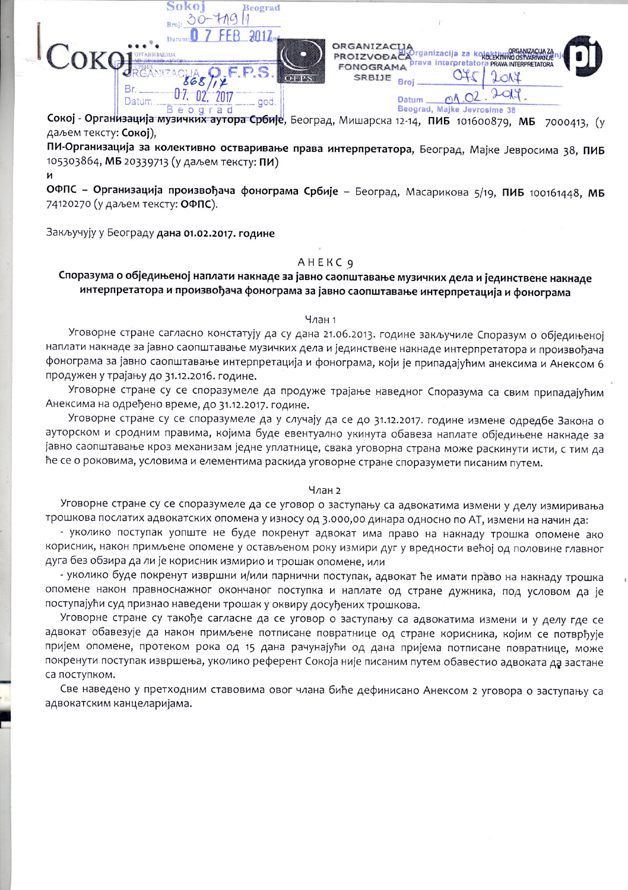$k\Omega$ Beograd 30-719  $-2012$ rganizacija za kolektivno ostva OKG **PROIZVOĐAČ** rava interpretato PRAVA INTERPRETATO **FONOGRAMA**  $2014$ SRBIJE  $02.$  $2019$ 07.  $2017$  $0<sub>0</sub> \times 0<sub>2</sub>$ god Datum Datum Beograd Beograd, Majke Jevrosime 38

Сокој - Организација музичких аутора Србије, Београд, Мишарска 12-14, ПИБ 101600879, МБ 7000413, (у даљем тексту: Сокој),

ПИ-Организација за колективно остваривање права интерпретатора, Београд, Мајке Јевросима 38, ПИБ 105303864, МБ 20339713 (у даљем тексту: ПИ) И

ОФПС - Организација произвођача фонограма Србије - Београд, Масарикова 5/19, ПИБ 100161448, МБ 74120270 (у даљем тексту: ОФПС).

Закључују у Београду дана 01.02.2017. године

## **AHEKC 9**

# Споразума о обједињеној наплати накнаде за јавно саопштавање музичких дела и јединствене накнаде интерпретатора и произвођача фонограма за јавно саопштавање интерпретација и фонограма

### Члан 1

Уговорне стране сагласно констатују да су дана 21.06.2013. године закључиле Споразум о обједињеној наплати накнаде за јавно саопштавање музичких дела и јединствене накнаде интерпретатора и произвођача фонограма за јавно саопштавање интерпретација и фонограма, који је припадајућим анексима и Анексом 6 продужен у трајању до 31.12.2016. године.

Уговорне стране су се споразумеле да продуже трајање наведног Споразума са свим припадајућим Анексима на одређено време, до 31.12.2017. године.

Уговорне стране су се споразумеле да у случају да се до 31.12.2017. године измене одредбе Закона о ауторском и сродним правима, којима буде евентуално укинута обавеза наплате обједињене накнаде за јавно саопштавање кроз механизам једне уплатнице, свака уговорна страна може раскинути исти, с тим да ће се о роковима, условима и елементима раскида уговорне стране споразумети писаним путем.

# Члан 2

Уговорне стране су се споразумеле да се уговор о заступању са адвокатима измени у делу измиривања трошкова послатих адвокатских опомена у износу од 3.000,00 динара односно по АТ, измени на начин да:

- уколико поступак уопште не буде покренут адвокат има право на накнаду трошка опомене ако корисник, након примљене опомене у остављеном року измири дуг у вредности већој од половине главног дуга без обзира да ли је корисник измирио и трошак опомене, или

- уколико буде покренут извршни и/или парнични поступак, адвокат ће имати право на накнаду трошка опомене након правноснажног окончаног поступка и наплате од стране дужника, под условом да је поступајући суд признао наведени трошак у оквиру досуђених трошкова.

Уговорне стране су такође сагласне да се уговор о заступању са адвокатима измени и у делу где се адвокат обавезује да након примљене потписане повратнице од стране корисника, којим се потврђује пријем опомене, протеком рока од 15 дана рачунајући од дана пријема потписане повратнице, може покренути поступак извршења, уколико референт Сокоја није писаним путем обавестио адвоката да застане са поступком.

Све наведено у претходним ставовима овог члана биће дефинисано Анексом 2 уговора о заступању са адвокатским канцеларијама.